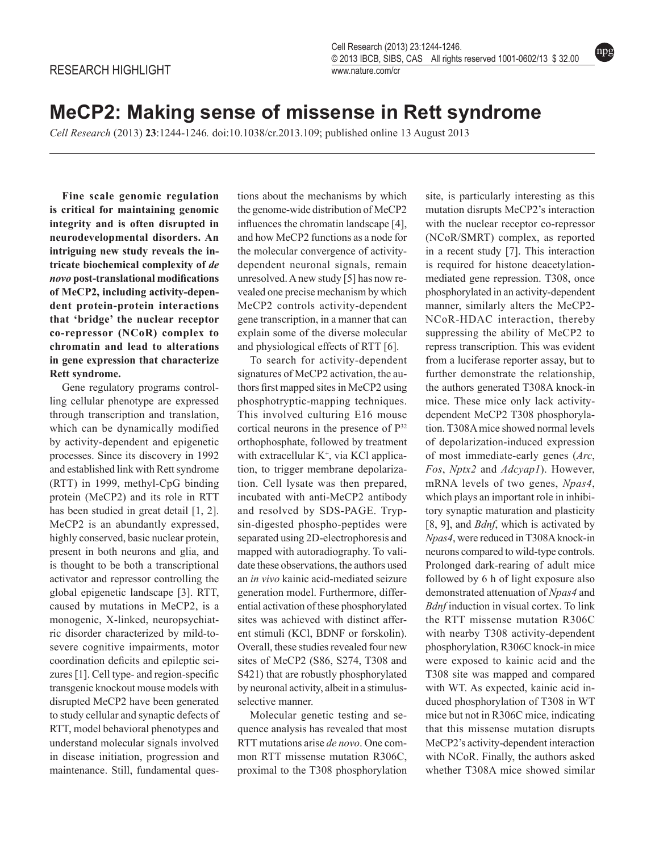npg

## **MeCP2: Making sense of missense in Rett syndrome**

*Cell Research* (2013) **23**:1244-1246*.* doi:10.1038/cr.2013.109; published online 13 August 2013

**Fine scale genomic regulation is critical for maintaining genomic integrity and is often disrupted in neurodevelopmental disorders. An intriguing new study reveals the intricate biochemical complexity of** *de novo* **post-translational modifications of MeCP2, including activity-dependent protein-protein interactions that 'bridge' the nuclear receptor co-repressor (NCoR) complex to chromatin and lead to alterations in gene expression that characterize Rett syndrome.**

Gene regulatory programs controlling cellular phenotype are expressed through transcription and translation, which can be dynamically modified by activity-dependent and epigenetic processes. Since its discovery in 1992 and established link with Rett syndrome (RTT) in 1999, methyl-CpG binding protein (MeCP2) and its role in RTT has been studied in great detail [1, 2]. MeCP2 is an abundantly expressed, highly conserved, basic nuclear protein, present in both neurons and glia, and is thought to be both a transcriptional activator and repressor controlling the global epigenetic landscape [3]. RTT, caused by mutations in MeCP2, is a monogenic, X-linked, neuropsychiatric disorder characterized by mild-tosevere cognitive impairments, motor coordination deficits and epileptic seizures [1]. Cell type- and region-specific transgenic knockout mouse models with disrupted MeCP2 have been generated to study cellular and synaptic defects of RTT, model behavioral phenotypes and understand molecular signals involved in disease initiation, progression and maintenance. Still, fundamental questions about the mechanisms by which the genome-wide distribution of MeCP2 influences the chromatin landscape [4], and how MeCP2 functions as a node for the molecular convergence of activitydependent neuronal signals, remain unresolved. A new study [5] has now revealed one precise mechanism by which MeCP2 controls activity-dependent gene transcription, in a manner that can explain some of the diverse molecular and physiological effects of RTT [6].

To search for activity-dependent signatures of MeCP2 activation, the authors first mapped sites in MeCP2 using phosphotryptic-mapping techniques. This involved culturing E16 mouse cortical neurons in the presence of P32 orthophosphate, followed by treatment with extracellular  $K^+$ , via KCl application, to trigger membrane depolarization. Cell lysate was then prepared, incubated with anti-MeCP2 antibody and resolved by SDS-PAGE. Trypsin-digested phospho-peptides were separated using 2D-electrophoresis and mapped with autoradiography. To validate these observations, the authors used an *in vivo* kainic acid-mediated seizure generation model. Furthermore, differential activation of these phosphorylated sites was achieved with distinct afferent stimuli (KCl, BDNF or forskolin). Overall, these studies revealed four new sites of MeCP2 (S86, S274, T308 and S421) that are robustly phosphorylated by neuronal activity, albeit in a stimulusselective manner.

Molecular genetic testing and sequence analysis has revealed that most RTT mutations arise *de novo*. One common RTT missense mutation R306C, proximal to the T308 phosphorylation site, is particularly interesting as this mutation disrupts MeCP2's interaction with the nuclear receptor co-repressor (NCoR/SMRT) complex, as reported in a recent study [7]. This interaction is required for histone deacetylationmediated gene repression. T308, once phosphorylated in an activity-dependent manner, similarly alters the MeCP2- NCoR-HDAC interaction, thereby suppressing the ability of MeCP2 to repress transcription. This was evident from a luciferase reporter assay, but to further demonstrate the relationship, the authors generated T308A knock-in mice. These mice only lack activitydependent MeCP2 T308 phosphorylation. T308A mice showed normal levels of depolarization-induced expression of most immediate-early genes (*Arc*, *Fos*, *Nptx2* and *Adcyap1*). However, mRNA levels of two genes, *Npas4*, which plays an important role in inhibitory synaptic maturation and plasticity [8, 9], and *Bdnf*, which is activated by *Npas4*, were reduced in T308A knock-in neurons compared to wild-type controls. Prolonged dark-rearing of adult mice followed by 6 h of light exposure also demonstrated attenuation of *Npas4* and *Bdnf* induction in visual cortex. To link the RTT missense mutation R306C with nearby T308 activity-dependent phosphorylation, R306C knock-in mice were exposed to kainic acid and the T308 site was mapped and compared with WT. As expected, kainic acid induced phosphorylation of T308 in WT mice but not in R306C mice, indicating that this missense mutation disrupts MeCP2's activity-dependent interaction with NCoR. Finally, the authors asked whether T308A mice showed similar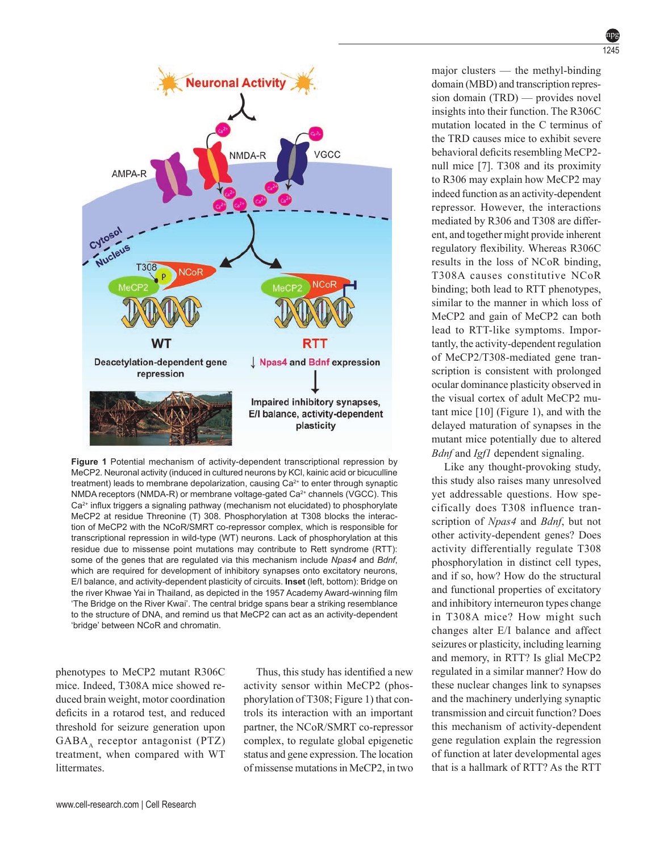

**Figure 1** Potential mechanism of activity-dependent transcriptional repression by MeCP2. Neuronal activity (induced in cultured neurons by KCl, kainic acid or bicuculline treatment) leads to membrane depolarization, causing Ca<sup>2+</sup> to enter through synaptic NMDA receptors (NMDA-R) or membrane voltage-gated Ca<sup>2+</sup> channels (VGCC). This  $Ca<sup>2+</sup>$  influx triggers a signaling pathway (mechanism not elucidated) to phosphorylate MeCP2 at residue Threonine (T) 308. Phosphorylation at T308 blocks the interaction of MeCP2 with the NCoR/SMRT co-repressor complex, which is responsible for transcriptional repression in wild-type (WT) neurons. Lack of phosphorylation at this residue due to missense point mutations may contribute to Rett syndrome (RTT): some of the genes that are regulated via this mechanism include *Npas4* and *Bdnf*, which are required for development of inhibitory synapses onto excitatory neurons, E/I balance, and activity-dependent plasticity of circuits. **Inset** (left, bottom): Bridge on the river Khwae Yai in Thailand, as depicted in the 1957 Academy Award-winning film 'The Bridge on the River Kwai'. The central bridge spans bear a striking resemblance to the structure of DNA, and remind us that MeCP2 can act as an activity-dependent 'bridge' between NCoR and chromatin.

phenotypes to MeCP2 mutant R306C mice. Indeed, T308A mice showed reduced brain weight, motor coordination deficits in a rotarod test, and reduced threshold for seizure generation upon GABA, receptor antagonist (PTZ) treatment, when compared with WT littermates.

Thus, this study has identified a new activity sensor within MeCP2 (phosphorylation of T308; Figure 1) that controls its interaction with an important partner, the NCoR/SMRT co-repressor complex, to regulate global epigenetic status and gene expression. The location of missense mutations in MeCP2, in two major clusters — the methyl-binding domain (MBD) and transcription repression domain (TRD) — provides novel insights into their function. The R306C mutation located in the C terminus of the TRD causes mice to exhibit severe behavioral deficits resembling MeCP2 null mice [7]. T308 and its proximity to R306 may explain how MeCP2 may indeed function as an activity-dependent repressor. However, the interactions mediated by R306 and T308 are different, and together might provide inherent regulatory flexibility. Whereas R306C results in the loss of NCoR binding, T308A causes constitutive NCoR binding; both lead to RTT phenotypes, similar to the manner in which loss of MeCP2 and gain of MeCP2 can both lead to RTT-like symptoms. Importantly, the activity-dependent regulation of MeCP2/T308-mediated gene transcription is consistent with prolonged ocular dominance plasticity observed in the visual cortex of adult MeCP2 mutant mice [10] (Figure 1), and with the delayed maturation of synapses in the mutant mice potentially due to altered *Bdnf* and *Igf1* dependent signaling.

Like any thought-provoking study, this study also raises many unresolved yet addressable questions. How specifically does T308 influence transcription of *Npas4* and *Bdnf*, but not other activity-dependent genes? Does activity differentially regulate T308 phosphorylation in distinct cell types, and if so, how? How do the structural and functional properties of excitatory and inhibitory interneuron types change in T308A mice? How might such changes alter E/I balance and affect seizures or plasticity, including learning and memory, in RTT? Is glial MeCP2 regulated in a similar manner? How do these nuclear changes link to synapses and the machinery underlying synaptic transmission and circuit function? Does this mechanism of activity-dependent gene regulation explain the regression of function at later developmental ages that is a hallmark of RTT? As the RTT